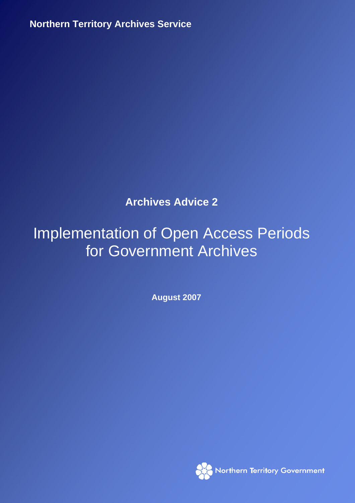**Northern Territory Archives Service** IMPLEMENTATION OF OPEN ACCESS PERIODS FOR GOVERNMENT ARCHIVES AUGUST 2007

# **Archives Advice 2**

# **Implementation of Open Access Periods Implement Archives** for Government Archives

**August 2007** 

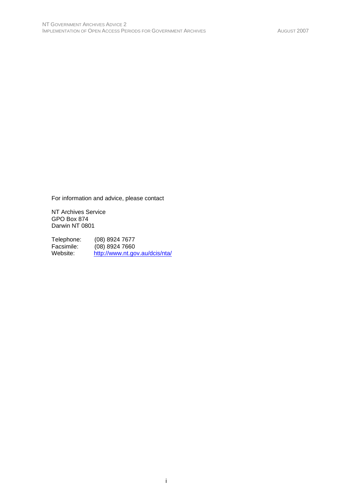For information and advice, please contact

NT Archives Service GPO Box 874 Darwin NT 0801

Telephone: (08) 8924 7677<br>Facsimile: (08) 8924 7660 Facsimile: (08) 8924 7660<br>Website: http://www.nt.go http://www.nt.gov.au/dcis/nta/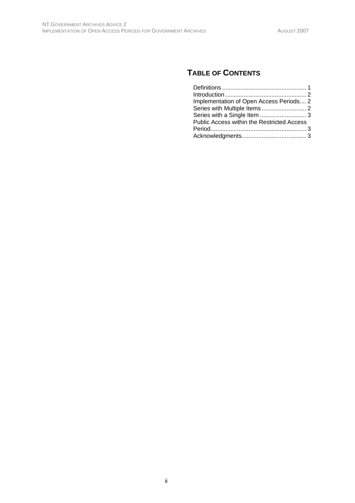# **TABLE OF CONTENTS**

| Implementation of Open Access Periods 2    |  |
|--------------------------------------------|--|
|                                            |  |
|                                            |  |
|                                            |  |
| Public Access within the Restricted Access |  |
|                                            |  |
|                                            |  |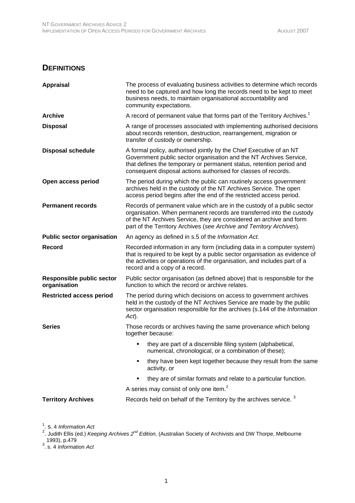#### **DEFINITIONS**

| <b>Appraisal</b>                                 | The process of evaluating business activities to determine which records<br>need to be captured and how long the records need to be kept to meet<br>business needs, to maintain organisational accountability and<br>community expectations.                                                   |
|--------------------------------------------------|------------------------------------------------------------------------------------------------------------------------------------------------------------------------------------------------------------------------------------------------------------------------------------------------|
| <b>Archive</b>                                   | A record of permanent value that forms part of the Territory Archives. <sup>1</sup>                                                                                                                                                                                                            |
| <b>Disposal</b>                                  | A range of processes associated with implementing authorised decisions<br>about records retention, destruction, rearrangement, migration or<br>transfer of custody or ownership.                                                                                                               |
| <b>Disposal schedule</b>                         | A formal policy, authorised jointly by the Chief Executive of an NT<br>Government public sector organisation and the NT Archives Service,<br>that defines the temporary or permanent status, retention period and<br>consequent disposal actions authorised for classes of records.            |
| Open access period                               | The period during which the public can routinely access government<br>archives held in the custody of the NT Archives Service. The open<br>access period begins after the end of the restricted access period.                                                                                 |
| <b>Permanent records</b>                         | Records of permanent value which are in the custody of a public sector<br>organisation. When permanent records are transferred into the custody<br>of the NT Archives Service, they are considered an archive and form<br>part of the Territory Archives (see Archive and Territory Archives). |
| <b>Public sector organisation</b>                | An agency as defined in s.5 of the Information Act.                                                                                                                                                                                                                                            |
| Record                                           | Recorded information in any form (including data in a computer system)<br>that is required to be kept by a public sector organisation as evidence of<br>the activities or operations of the organisation, and includes part of a<br>record and a copy of a record.                             |
| <b>Responsible public sector</b><br>organisation | Public sector organisation (as defined above) that is responsible for the<br>function to which the record or archive relates.                                                                                                                                                                  |
| <b>Restricted access period</b>                  | The period during which decisions on access to government archives<br>held in the custody of the NT Archives Service are made by the public<br>sector organisation responsible for the archives (s.144 of the Information<br>Act).                                                             |
| <b>Series</b>                                    | Those records or archives having the same provenance which belong<br>together because:                                                                                                                                                                                                         |
|                                                  | they are part of a discernible filing system (alphabetical,<br>numerical, chronological, or a combination of these);                                                                                                                                                                           |
|                                                  | they have been kept together because they result from the same<br>activity, or                                                                                                                                                                                                                 |
|                                                  | they are of similar formats and relate to a particular function.                                                                                                                                                                                                                               |
|                                                  | A series may consist of only one item. <sup>2</sup>                                                                                                                                                                                                                                            |
| <b>Territory Archives</b>                        | Records held on behalf of the Territory by the archives service. <sup>3</sup>                                                                                                                                                                                                                  |

<sup>1</sup>. s. 4 *Information Act*<br><sup>2</sup>. Judith Ellis (ed.) *Keeping Archives 2<sup>nd</sup> Edition,* (Australian Society of Archivists and DW Thorpe, Melbourne 1993), p.479 3 . s. 4 *Information Act*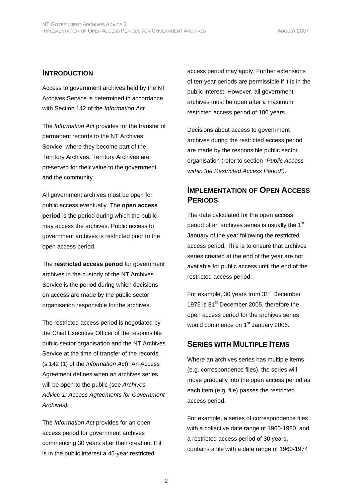#### **INTRODUCTION**

Access to government archives held by the NT Archives Service is determined in accordance with Section 142 of the *Information Act*.

The *Information Act* provides for the transfer of permanent records to the NT Archives Service, where they become part of the Territory Archives. Territory Archives are preserved for their value to the government and the community.

All government archives must be open for public access eventually. The **open access period** is the period during which the public may access the archives. Public access to government archives is restricted prior to the open access period.

The **restricted access period** for government archives in the custody of the NT Archives Service is the period during which decisions on access are made by the public sector organisation responsible for the archives.

The restricted access period is negotiated by the Chief Executive Officer of the responsible public sector organisation and the NT Archives Service at the time of transfer of the records (s.142 (1) of the *Information Act*). An Access Agreement defines when an archives series will be open to the public (see *Archives Advice 1: Access Agreements for Government Archives).*

The *Information Act* provides for an open access period for government archives commencing 30 years after their creation. If it is in the public interest a 45-year restricted

access period may apply. Further extensions of ten-year periods are permissible if it is in the public interest. However, all government archives must be open after a maximum restricted access period of 100 years.

Decisions about access to government archives during the restricted access period are made by the responsible public sector organisation (refer to section "*Public Access within the Restricted Access Period").* 

### **IMPLEMENTATION OF OPEN ACCESS PERIODS**

The date calculated for the open access period of an archives series is usually the 1<sup>st</sup> January of the year following the restricted access period. This is to ensure that archives series created at the end of the year are not available for public access until the end of the restricted access period.

For example, 30 years from 31<sup>st</sup> December 1975 is 31<sup>st</sup> December 2005, therefore the open access period for the archives series would commence on 1<sup>st</sup> January 2006.

#### **SERIES WITH MULTIPLE ITEMS**

Where an archives series has multiple items (e.g. correspondence files), the series will move gradually into the open access period as each item (e.g. file) passes the restricted access period.

For example, a series of correspondence files with a collective date range of 1960-1980, and a restricted access period of 30 years, contains a file with a date range of 1960-1974